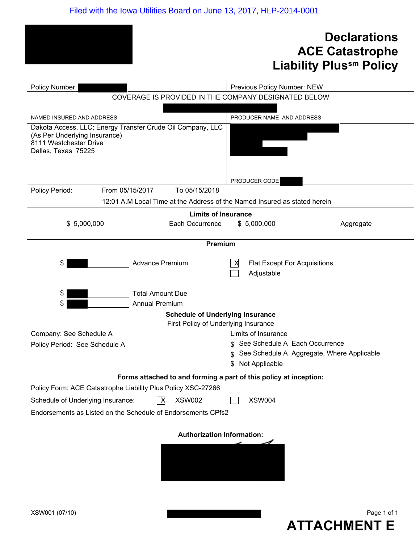## **Declarations ACE Catastrophe Liability Plussm Policy**

| Policy Number:                                                                                                                               | Previous Policy Number: NEW                            |  |  |  |
|----------------------------------------------------------------------------------------------------------------------------------------------|--------------------------------------------------------|--|--|--|
| COVERAGE IS PROVIDED IN THE COMPANY DESIGNATED BELOW                                                                                         |                                                        |  |  |  |
|                                                                                                                                              |                                                        |  |  |  |
| NAMED INSURED AND ADDRESS                                                                                                                    | PRODUCER NAME AND ADDRESS                              |  |  |  |
| Dakota Access, LLC; Energy Transfer Crude Oil Company, LLC<br>(As Per Underlying Insurance)<br>8111 Westchester Drive<br>Dallas, Texas 75225 |                                                        |  |  |  |
|                                                                                                                                              | PRODUCER CODE                                          |  |  |  |
| From 05/15/2017<br>To 05/15/2018<br>Policy Period:                                                                                           |                                                        |  |  |  |
| 12:01 A.M Local Time at the Address of the Named Insured as stated herein                                                                    |                                                        |  |  |  |
| <b>Limits of Insurance</b>                                                                                                                   |                                                        |  |  |  |
| Each Occurrence<br>\$5,000,000                                                                                                               | \$5,000,000<br>Aggregate                               |  |  |  |
| Premium                                                                                                                                      |                                                        |  |  |  |
|                                                                                                                                              |                                                        |  |  |  |
| \$<br><b>Advance Premium</b>                                                                                                                 | <b>Flat Except For Acquisitions</b><br>X<br>Adjustable |  |  |  |
| \$<br><b>Total Amount Due</b>                                                                                                                |                                                        |  |  |  |
| <b>Annual Premium</b><br>\$                                                                                                                  |                                                        |  |  |  |
| <b>Schedule of Underlying Insurance</b>                                                                                                      |                                                        |  |  |  |
| First Policy of Underlying Insurance                                                                                                         |                                                        |  |  |  |
| Company: See Schedule A                                                                                                                      | Limits of Insurance                                    |  |  |  |
| Policy Period: See Schedule A                                                                                                                | See Schedule A Each Occurrence                         |  |  |  |
|                                                                                                                                              | See Schedule A Aggregate, Where Applicable             |  |  |  |
|                                                                                                                                              | Not Applicable<br>\$                                   |  |  |  |
| Forms attached to and forming a part of this policy at inception:                                                                            |                                                        |  |  |  |
| Policy Form: ACE Catastrophe Liability Plus Policy XSC-27266                                                                                 |                                                        |  |  |  |
| Schedule of Underlying Insurance:<br><b>XSW002</b><br>X                                                                                      | <b>XSW004</b>                                          |  |  |  |
| Endorsements as Listed on the Schedule of Endorsements CPfs2                                                                                 |                                                        |  |  |  |
|                                                                                                                                              |                                                        |  |  |  |
| <b>Authorization Information:</b>                                                                                                            |                                                        |  |  |  |
|                                                                                                                                              |                                                        |  |  |  |
|                                                                                                                                              |                                                        |  |  |  |
|                                                                                                                                              |                                                        |  |  |  |
|                                                                                                                                              |                                                        |  |  |  |

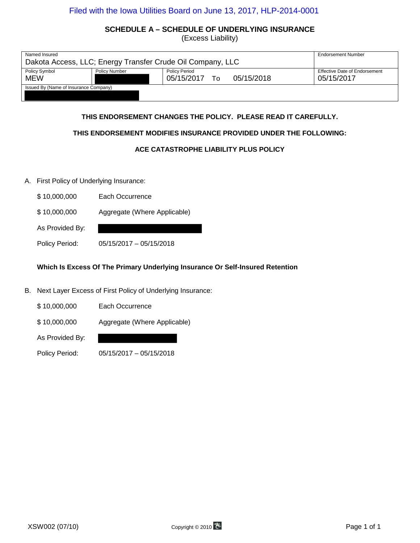#### **SCHEDULE A – SCHEDULE OF UNDERLYING INSURANCE**

(Excess Liability)

| Named Insured                         |                      | Dakota Access, LLC; Energy Transfer Crude Oil Company, LLC |            | <b>Endorsement Number</b>                          |
|---------------------------------------|----------------------|------------------------------------------------------------|------------|----------------------------------------------------|
| <b>Policy Symbol</b><br><b>MEW</b>    | <b>Policy Number</b> | <b>Policy Period</b><br>05/15/2017 To                      | 05/15/2018 | <b>Effective Date of Endorsement</b><br>05/15/2017 |
| Issued By (Name of Insurance Company) |                      |                                                            |            |                                                    |

#### **THIS ENDORSEMENT CHANGES THE POLICY. PLEASE READ IT CAREFULLY.**

#### **THIS ENDORSEMENT MODIFIES INSURANCE PROVIDED UNDER THE FOLLOWING:**

#### **ACE CATASTROPHE LIABILITY PLUS POLICY**

A. First Policy of Underlying Insurance:

As Provided By:

- \$ 10,000,000 Each Occurrence
- \$ 10,000,000 Aggregate (Where Applicable)

| Policy Period: | $05/15/2017 - 05/15/2018$ |
|----------------|---------------------------|

#### **Which Is Excess Of The Primary Underlying Insurance Or Self-Insured Retention**

- B. Next Layer Excess of First Policy of Underlying Insurance:
	- \$ 10,000,000 Each Occurrence
	- \$ 10,000,000 Aggregate (Where Applicable)

As Provided By:

Policy Period: 05/15/2017 – 05/15/2018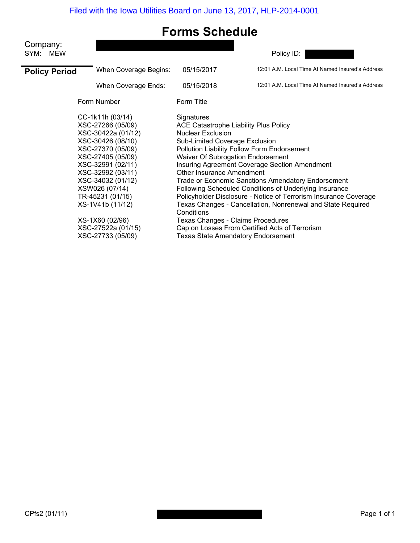## **Forms Schedule**

| Company:<br>SYM: MEW |                                                                                                                                                                                                                                                     |                                                                                                                                                                                                                 | Policy ID:                                                                                                                                                                                                                                                                                                                                             |
|----------------------|-----------------------------------------------------------------------------------------------------------------------------------------------------------------------------------------------------------------------------------------------------|-----------------------------------------------------------------------------------------------------------------------------------------------------------------------------------------------------------------|--------------------------------------------------------------------------------------------------------------------------------------------------------------------------------------------------------------------------------------------------------------------------------------------------------------------------------------------------------|
| <b>Policy Period</b> | When Coverage Begins:                                                                                                                                                                                                                               | 05/15/2017                                                                                                                                                                                                      | 12:01 A.M. Local Time At Named Insured's Address                                                                                                                                                                                                                                                                                                       |
|                      | When Coverage Ends:                                                                                                                                                                                                                                 | 05/15/2018                                                                                                                                                                                                      | 12:01 A.M. Local Time At Named Insured's Address                                                                                                                                                                                                                                                                                                       |
|                      | Form Number                                                                                                                                                                                                                                         | Form Title                                                                                                                                                                                                      |                                                                                                                                                                                                                                                                                                                                                        |
|                      | CC-1k11h (03/14)<br>XSC-27266 (05/09)<br>XSC-30422a (01/12)<br>XSC-30426 (08/10)<br>XSC-27370 (05/09)<br>XSC-27405 (05/09)<br>XSC-32991 (02/11)<br>XSC-32992 (03/11)<br>XSC-34032 (01/12)<br>XSW026 (07/14)<br>TR-45231 (01/15)<br>XS-1V41b (11/12) | Signatures<br><b>ACE Catastrophe Liability Plus Policy</b><br><b>Nuclear Exclusion</b><br>Sub-Limited Coverage Exclusion<br>Waiver Of Subrogation Endorsement<br><b>Other Insurance Amendment</b><br>Conditions | <b>Pollution Liability Follow Form Endorsement</b><br>Insuring Agreement Coverage Section Amendment<br>Trade or Economic Sanctions Amendatory Endorsement<br>Following Scheduled Conditions of Underlying Insurance<br>Policyholder Disclosure - Notice of Terrorism Insurance Coverage<br>Texas Changes - Cancellation, Nonrenewal and State Required |
|                      | XS-1X60 (02/96)<br>XSC-27522a (01/15)<br>XSC-27733 (05/09)                                                                                                                                                                                          | Texas Changes - Claims Procedures                                                                                                                                                                               | Cap on Losses From Certified Acts of Terrorism<br><b>Texas State Amendatory Endorsement</b>                                                                                                                                                                                                                                                            |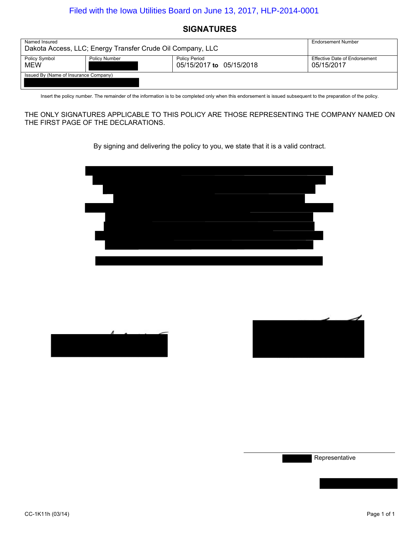## **SIGNATURES**

| Named Insured<br>Dakota Access, LLC; Energy Transfer Crude Oil Company, LLC                             |  |  | <b>Endorsement Number</b>                   |  |
|---------------------------------------------------------------------------------------------------------|--|--|---------------------------------------------|--|
| <b>Policy Period</b><br>Policy Symbol<br><b>Policy Number</b><br>05/15/2017 to 05/15/2018<br><b>MEW</b> |  |  | Effective Date of Endorsement<br>05/15/2017 |  |
| Issued By (Name of Insurance Company)                                                                   |  |  |                                             |  |

Insert the policy number. The remainder of the information is to be completed only when this endorsement is issued subsequent to the preparation of the policy.

THE ONLY SIGNATURES APPLICABLE TO THIS POLICY ARE THOSE REPRESENTING THE COMPANY NAMED ON THE FIRST PAGE OF THE DECLARATIONS.

By signing and delivering the policy to you, we state that it is a valid contract.







Representative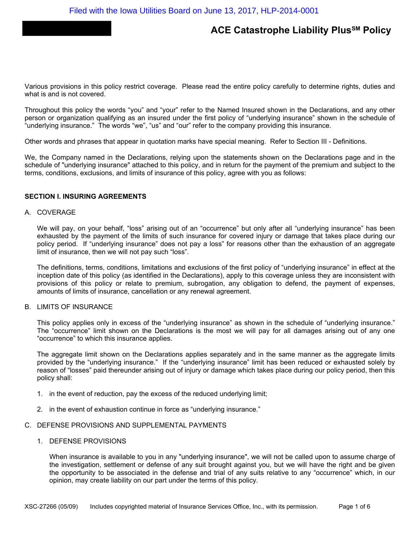## **ACE Catastrophe Liability PlusSM Policy**

Various provisions in this policy restrict coverage. Please read the entire policy carefully to determine rights, duties and what is and is not covered.

Throughout this policy the words "you" and "your" refer to the Named Insured shown in the Declarations, and any other person or organization qualifying as an insured under the first policy of "underlying insurance" shown in the schedule of "underlying insurance." The words "we", "us" and "our" refer to the company providing this insurance.

Other words and phrases that appear in quotation marks have special meaning. Refer to Section III - Definitions.

We, the Company named in the Declarations, relying upon the statements shown on the Declarations page and in the schedule of "underlying insurance" attached to this policy, and in return for the payment of the premium and subject to the terms, conditions, exclusions, and limits of insurance of this policy, agree with you as follows:

#### **SECTION I. INSURING AGREEMENTS**

#### A. COVERAGE

We will pay, on your behalf, "loss" arising out of an "occurrence" but only after all "underlying insurance" has been exhausted by the payment of the limits of such insurance for covered injury or damage that takes place during our policy period. If "underlying insurance" does not pay a loss" for reasons other than the exhaustion of an aggregate limit of insurance, then we will not pay such "loss".

The definitions, terms, conditions, limitations and exclusions of the first policy of "underlying insurance" in effect at the inception date of this policy (as identified in the Declarations), apply to this coverage unless they are inconsistent with provisions of this policy or relate to premium, subrogation, any obligation to defend, the payment of expenses, amounts of limits of insurance, cancellation or any renewal agreement.

#### B. LIMITS OF INSURANCE

This policy applies only in excess of the "underlying insurance" as shown in the schedule of "underlying insurance." The "occurrence" limit shown on the Declarations is the most we will pay for all damages arising out of any one "occurrence" to which this insurance applies.

The aggregate limit shown on the Declarations applies separately and in the same manner as the aggregate limits provided by the "underlying insurance." If the "underlying insurance" limit has been reduced or exhausted solely by reason of "losses" paid thereunder arising out of injury or damage which takes place during our policy period, then this policy shall:

- 1. in the event of reduction, pay the excess of the reduced underlying limit;
- 2. in the event of exhaustion continue in force as "underlying insurance."

#### C. DEFENSE PROVISIONS AND SUPPLEMENTAL PAYMENTS

#### 1. DEFENSE PROVISIONS

When insurance is available to you in any "underlying insurance", we will not be called upon to assume charge of the investigation, settlement or defense of any suit brought against you, but we will have the right and be given the opportunity to be associated in the defense and trial of any suits relative to any "occurrence" which, in our opinion, may create liability on our part under the terms of this policy.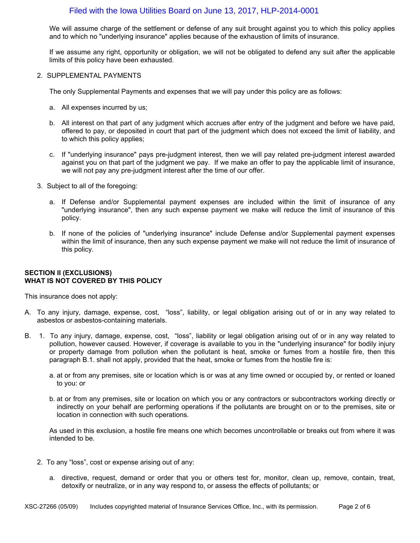#### Filed with the Iowa Utilities Board on June 13, 2017, HLP-2014-0001

We will assume charge of the settlement or defense of any suit brought against you to which this policy applies and to which no "underlying insurance" applies because of the exhaustion of limits of insurance.

If we assume any right, opportunity or obligation, we will not be obligated to defend any suit after the applicable limits of this policy have been exhausted.

#### 2. SUPPLEMENTAL PAYMENTS

The only Supplemental Payments and expenses that we will pay under this policy are as follows:

- a. All expenses incurred by us;
- b. All interest on that part of any judgment which accrues after entry of the judgment and before we have paid, offered to pay, or deposited in court that part of the judgment which does not exceed the limit of liability, and to which this policy applies;
- c. If "underlying insurance" pays pre-judgment interest, then we will pay related pre-judgment interest awarded against you on that part of the judgment we pay. If we make an offer to pay the applicable limit of insurance, we will not pay any pre-judgment interest after the time of our offer.
- 3. Subject to all of the foregoing:
	- a. If Defense and/or Supplemental payment expenses are included within the limit of insurance of any "underlying insurance", then any such expense payment we make will reduce the limit of insurance of this policy.
	- b. If none of the policies of "underlying insurance" include Defense and/or Supplemental payment expenses within the limit of insurance, then any such expense payment we make will not reduce the limit of insurance of this policy.

#### **SECTION II (EXCLUSIONS) WHAT IS NOT COVERED BY THIS POLICY**

This insurance does not apply:

- A. To any injury, damage, expense, cost, "loss", liability, or legal obligation arising out of or in any way related to asbestos or asbestos-containing materials.
- B. 1. To any injury, damage, expense, cost, "loss", liability or legal obligation arising out of or in any way related to pollution, however caused. However, if coverage is available to you in the "underlying insurance" for bodily injury or property damage from pollution when the pollutant is heat, smoke or fumes from a hostile fire, then this paragraph B.1. shall not apply, provided that the heat, smoke or fumes from the hostile fire is:
	- a. at or from any premises, site or location which is or was at any time owned or occupied by, or rented or loaned to you: or
	- b. at or from any premises, site or location on which you or any contractors or subcontractors working directly or indirectly on your behalf are performing operations if the pollutants are brought on or to the premises, site or location in connection with such operations.

As used in this exclusion, a hostile fire means one which becomes uncontrollable or breaks out from where it was intended to be.

- 2. To any "loss", cost or expense arising out of any:
	- a. directive, request, demand or order that you or others test for, monitor, clean up, remove, contain, treat, detoxify or neutralize, or in any way respond to, or assess the effects of pollutants; or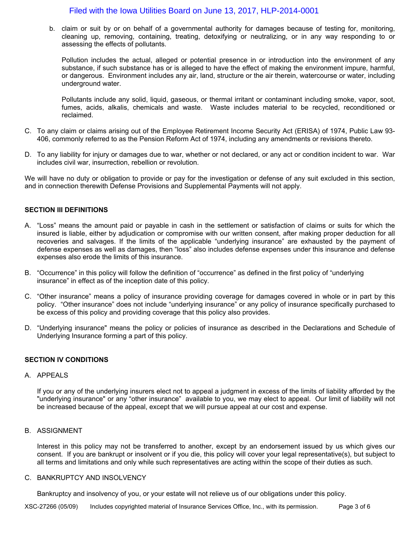#### Filed with the Iowa Utilities Board on June 13, 2017, HLP-2014-0001

b. claim or suit by or on behalf of a governmental authority for damages because of testing for, monitoring, cleaning up, removing, containing, treating, detoxifying or neutralizing, or in any way responding to or assessing the effects of pollutants.

Pollution includes the actual, alleged or potential presence in or introduction into the environment of any substance, if such substance has or is alleged to have the effect of making the environment impure, harmful, or dangerous. Environment includes any air, land, structure or the air therein, watercourse or water, including underground water.

Pollutants include any solid, liquid, gaseous, or thermal irritant or contaminant including smoke, vapor, soot, fumes, acids, alkalis, chemicals and waste. Waste includes material to be recycled, reconditioned or reclaimed.

- C. To any claim or claims arising out of the Employee Retirement Income Security Act (ERISA) of 1974, Public Law 93- 406, commonly referred to as the Pension Reform Act of 1974, including any amendments or revisions thereto.
- D. To any liability for injury or damages due to war, whether or not declared, or any act or condition incident to war. War includes civil war, insurrection, rebellion or revolution.

We will have no duty or obligation to provide or pay for the investigation or defense of any suit excluded in this section, and in connection therewith Defense Provisions and Supplemental Payments will not apply.

#### **SECTION III DEFINITIONS**

- A. "Loss" means the amount paid or payable in cash in the settlement or satisfaction of claims or suits for which the insured is liable, either by adjudication or compromise with our written consent, after making proper deduction for all recoveries and salvages. If the limits of the applicable "underlying insurance" are exhausted by the payment of defense expenses as well as damages, then "loss" also includes defense expenses under this insurance and defense expenses also erode the limits of this insurance.
- B. "Occurrence" in this policy will follow the definition of "occurrence" as defined in the first policy of "underlying insurance" in effect as of the inception date of this policy.
- C. "Other insurance" means a policy of insurance providing coverage for damages covered in whole or in part by this policy. "Other insurance" does not include "underlying insurance" or any policy of insurance specifically purchased to be excess of this policy and providing coverage that this policy also provides.
- D. "Underlying insurance" means the policy or policies of insurance as described in the Declarations and Schedule of Underlying Insurance forming a part of this policy.

#### **SECTION IV CONDITIONS**

#### A. APPEALS

If you or any of the underlying insurers elect not to appeal a judgment in excess of the limits of liability afforded by the "underlying insurance" or any "other insurance" available to you, we may elect to appeal. Our limit of liability will not be increased because of the appeal, except that we will pursue appeal at our cost and expense.

#### B. ASSIGNMENT

Interest in this policy may not be transferred to another, except by an endorsement issued by us which gives our consent. If you are bankrupt or insolvent or if you die, this policy will cover your legal representative(s), but subject to all terms and limitations and only while such representatives are acting within the scope of their duties as such.

#### C. BANKRUPTCY AND INSOLVENCY

Bankruptcy and insolvency of you, or your estate will not relieve us of our obligations under this policy.

XSC-27266 (05/09) Includes copyrighted material of Insurance Services Office, Inc., with its permission. Page 3 of 6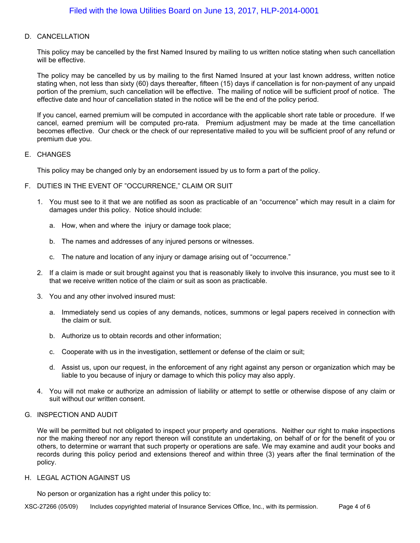#### D. CANCELLATION

This policy may be cancelled by the first Named Insured by mailing to us written notice stating when such cancellation will be effective.

The policy may be cancelled by us by mailing to the first Named Insured at your last known address, written notice stating when, not less than sixty (60) days thereafter, fifteen (15) days if cancellation is for non-payment of any unpaid portion of the premium, such cancellation will be effective. The mailing of notice will be sufficient proof of notice. The effective date and hour of cancellation stated in the notice will be the end of the policy period.

If you cancel, earned premium will be computed in accordance with the applicable short rate table or procedure. If we cancel, earned premium will be computed pro-rata. Premium adjustment may be made at the time cancellation becomes effective. Our check or the check of our representative mailed to you will be sufficient proof of any refund or premium due you.

#### E. CHANGES

This policy may be changed only by an endorsement issued by us to form a part of the policy.

#### F. DUTIES IN THE EVENT OF "OCCURRENCE," CLAIM OR SUIT

- 1. You must see to it that we are notified as soon as practicable of an "occurrence" which may result in a claim for damages under this policy. Notice should include:
	- a. How, when and where the injury or damage took place;
	- b. The names and addresses of any injured persons or witnesses.
	- c. The nature and location of any injury or damage arising out of "occurrence."
- 2. If a claim is made or suit brought against you that is reasonably likely to involve this insurance, you must see to it that we receive written notice of the claim or suit as soon as practicable.
- 3. You and any other involved insured must:
	- a. Immediately send us copies of any demands, notices, summons or legal papers received in connection with the claim or suit.
	- b. Authorize us to obtain records and other information;
	- c. Cooperate with us in the investigation, settlement or defense of the claim or suit;
	- d. Assist us, upon our request, in the enforcement of any right against any person or organization which may be liable to you because of injury or damage to which this policy may also apply.
- 4. You will not make or authorize an admission of liability or attempt to settle or otherwise dispose of any claim or suit without our written consent.

#### G. INSPECTION AND AUDIT

We will be permitted but not obligated to inspect your property and operations. Neither our right to make inspections nor the making thereof nor any report thereon will constitute an undertaking, on behalf of or for the benefit of you or others, to determine or warrant that such property or operations are safe. We may examine and audit your books and records during this policy period and extensions thereof and within three (3) years after the final termination of the policy.

#### H. LEGAL ACTION AGAINST US

No person or organization has a right under this policy to: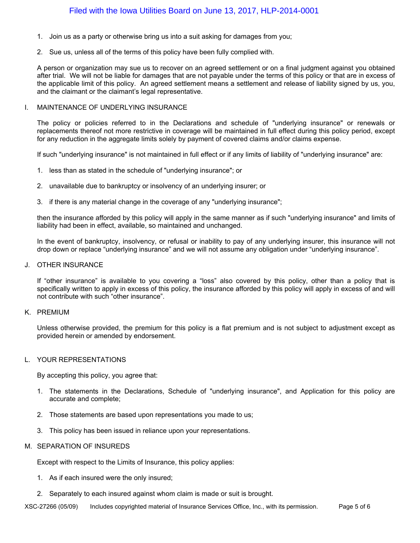- 1. Join us as a party or otherwise bring us into a suit asking for damages from you;
- 2. Sue us, unless all of the terms of this policy have been fully complied with.

A person or organization may sue us to recover on an agreed settlement or on a final judgment against you obtained after trial. We will not be liable for damages that are not payable under the terms of this policy or that are in excess of the applicable limit of this policy. An agreed settlement means a settlement and release of liability signed by us, you, and the claimant or the claimant's legal representative.

I. MAINTENANCE OF UNDERLYING INSURANCE

The policy or policies referred to in the Declarations and schedule of "underlying insurance" or renewals or replacements thereof not more restrictive in coverage will be maintained in full effect during this policy period, except for any reduction in the aggregate limits solely by payment of covered claims and/or claims expense.

If such "underlying insurance" is not maintained in full effect or if any limits of liability of "underlying insurance" are:

- 1. less than as stated in the schedule of "underlying insurance"; or
- 2. unavailable due to bankruptcy or insolvency of an underlying insurer; or
- 3. if there is any material change in the coverage of any "underlying insurance";

then the insurance afforded by this policy will apply in the same manner as if such "underlying insurance" and limits of liability had been in effect, available, so maintained and unchanged.

In the event of bankruptcy, insolvency, or refusal or inability to pay of any underlying insurer, this insurance will not drop down or replace "underlying insurance" and we will not assume any obligation under "underlying insurance".

J. OTHER INSURANCE

If "other insurance" is available to you covering a "loss" also covered by this policy, other than a policy that is specifically written to apply in excess of this policy, the insurance afforded by this policy will apply in excess of and will not contribute with such "other insurance".

K. PREMIUM

Unless otherwise provided, the premium for this policy is a flat premium and is not subject to adjustment except as provided herein or amended by endorsement.

#### L. YOUR REPRESENTATIONS

By accepting this policy, you agree that:

- 1. The statements in the Declarations, Schedule of "underlying insurance", and Application for this policy are accurate and complete;
- 2. Those statements are based upon representations you made to us;
- 3. This policy has been issued in reliance upon your representations.

#### M. SEPARATION OF INSUREDS

Except with respect to the Limits of Insurance, this policy applies:

- 1. As if each insured were the only insured;
- 2. Separately to each insured against whom claim is made or suit is brought.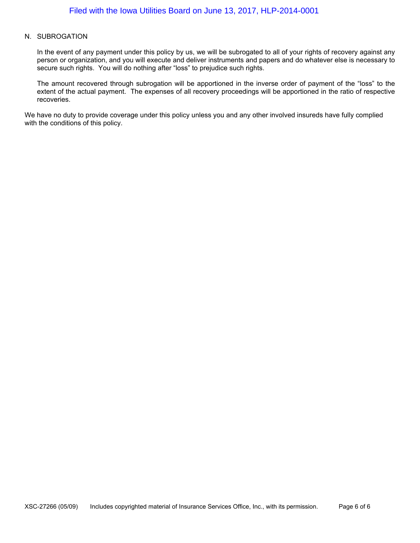#### N. SUBROGATION

In the event of any payment under this policy by us, we will be subrogated to all of your rights of recovery against any person or organization, and you will execute and deliver instruments and papers and do whatever else is necessary to secure such rights. You will do nothing after "loss" to prejudice such rights.

The amount recovered through subrogation will be apportioned in the inverse order of payment of the "loss" to the extent of the actual payment. The expenses of all recovery proceedings will be apportioned in the ratio of respective recoveries.

We have no duty to provide coverage under this policy unless you and any other involved insureds have fully complied with the conditions of this policy.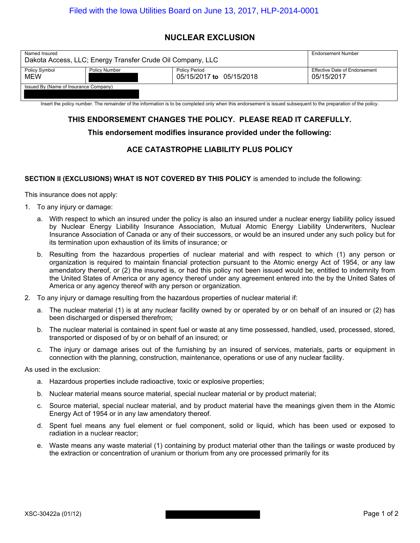## **NUCLEAR EXCLUSION**

| Named Insured<br>Dakota Access, LLC; Energy Transfer Crude Oil Company, LLC |                      |                      | <b>Endorsement Number</b>     |
|-----------------------------------------------------------------------------|----------------------|----------------------|-------------------------------|
| <b>Policy Symbol</b>                                                        | <b>Policy Number</b> | <b>Policy Period</b> | Effective Date of Endorsement |
| MEW<br>05/15/2017 to 05/15/2018                                             |                      |                      | 05/15/2017                    |
| Issued By (Name of Insurance Company)                                       |                      |                      |                               |
|                                                                             |                      |                      |                               |

Insert the policy number. The remainder of the information is to be completed only when this endorsement is issued subsequent to the preparation of the policy.

## **THIS ENDORSEMENT CHANGES THE POLICY. PLEASE READ IT CAREFULLY.**

## **This endorsement modifies insurance provided under the following:**

## **ACE CATASTROPHE LIABILITY PLUS POLICY**

#### **SECTION II (EXCLUSIONS) WHAT IS NOT COVERED BY THIS POLICY** is amended to include the following:

This insurance does not apply:

- 1. To any injury or damage:
	- a. With respect to which an insured under the policy is also an insured under a nuclear energy liability policy issued by Nuclear Energy Liability Insurance Association, Mutual Atomic Energy Liability Underwriters, Nuclear Insurance Association of Canada or any of their successors, or would be an insured under any such policy but for its termination upon exhaustion of its limits of insurance; or
	- b. Resulting from the hazardous properties of nuclear material and with respect to which (1) any person or organization is required to maintain financial protection pursuant to the Atomic energy Act of 1954, or any law amendatory thereof, or (2) the insured is, or had this policy not been issued would be, entitled to indemnity from the United States of America or any agency thereof under any agreement entered into the by the United Sates of America or any agency thereof with any person or organization.
- 2. To any injury or damage resulting from the hazardous properties of nuclear material if:
	- a. The nuclear material (1) is at any nuclear facility owned by or operated by or on behalf of an insured or (2) has been discharged or dispersed therefrom;
	- b. The nuclear material is contained in spent fuel or waste at any time possessed, handled, used, processed, stored, transported or disposed of by or on behalf of an insured; or
	- c. The injury or damage arises out of the furnishing by an insured of services, materials, parts or equipment in connection with the planning, construction, maintenance, operations or use of any nuclear facility.

As used in the exclusion:

- a. Hazardous properties include radioactive, toxic or explosive properties;
- b. Nuclear material means source material, special nuclear material or by product material;
- c. Source material, special nuclear material, and by product material have the meanings given them in the Atomic Energy Act of 1954 or in any law amendatory thereof.
- d. Spent fuel means any fuel element or fuel component, solid or liquid, which has been used or exposed to radiation in a nuclear reactor;
- e. Waste means any waste material (1) containing by product material other than the tailings or waste produced by the extraction or concentration of uranium or thorium from any ore processed primarily for its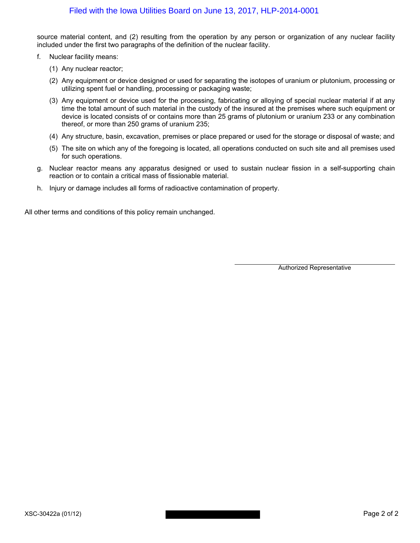## Filed with the Iowa Utilities Board on June 13, 2017, HLP-2014-0001

source material content, and (2) resulting from the operation by any person or organization of any nuclear facility included under the first two paragraphs of the definition of the nuclear facility.

- f. Nuclear facility means:
	- (1) Any nuclear reactor;
	- (2) Any equipment or device designed or used for separating the isotopes of uranium or plutonium, processing or utilizing spent fuel or handling, processing or packaging waste;
	- (3) Any equipment or device used for the processing, fabricating or alloying of special nuclear material if at any time the total amount of such material in the custody of the insured at the premises where such equipment or device is located consists of or contains more than 25 grams of plutonium or uranium 233 or any combination thereof, or more than 250 grams of uranium 235;
	- (4) Any structure, basin, excavation, premises or place prepared or used for the storage or disposal of waste; and
	- (5) The site on which any of the foregoing is located, all operations conducted on such site and all premises used for such operations.
- g. Nuclear reactor means any apparatus designed or used to sustain nuclear fission in a self-supporting chain reaction or to contain a critical mass of fissionable material.
- h. Injury or damage includes all forms of radioactive contamination of property.

All other terms and conditions of this policy remain unchanged.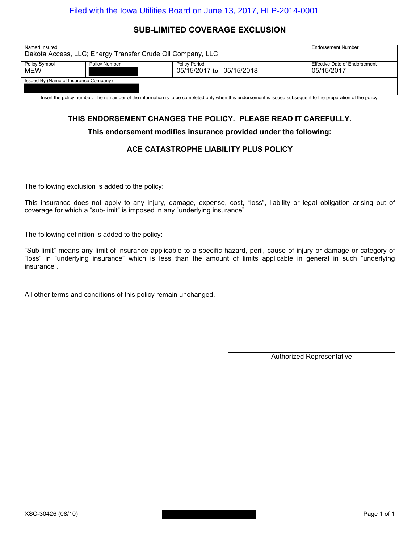## **SUB-LIMITED COVERAGE EXCLUSION**

| Named Insured<br>Dakota Access, LLC; Energy Transfer Crude Oil Company, LLC |                                                                          |  | <b>Endorsement Number</b> |
|-----------------------------------------------------------------------------|--------------------------------------------------------------------------|--|---------------------------|
| Policy Symbol<br><b>MEW</b>                                                 | <b>Policy Period</b><br><b>Policy Number</b><br>05/15/2017 to 05/15/2018 |  |                           |
| Issued By (Name of Insurance Company)                                       |                                                                          |  |                           |

Insert the policy number. The remainder of the information is to be completed only when this endorsement is issued subsequent to the preparation of the policy.

## **THIS ENDORSEMENT CHANGES THE POLICY. PLEASE READ IT CAREFULLY.**

## **This endorsement modifies insurance provided under the following:**

## **ACE CATASTROPHE LIABILITY PLUS POLICY**

The following exclusion is added to the policy:

This insurance does not apply to any injury, damage, expense, cost, "loss", liability or legal obligation arising out of coverage for which a "sub-limit" is imposed in any "underlying insurance".

The following definition is added to the policy:

"Sub-limit" means any limit of insurance applicable to a specific hazard, peril, cause of injury or damage or category of "loss" in "underlying insurance" which is less than the amount of limits applicable in general in such "underlying insurance".

All other terms and conditions of this policy remain unchanged.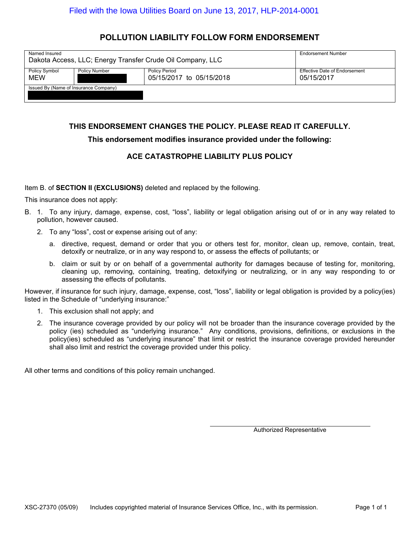## **POLLUTION LIABILITY FOLLOW FORM ENDORSEMENT**

| Named Insured                         |                      | Dakota Access, LLC; Energy Transfer Crude Oil Company, LLC | <b>Endorsement Number</b> |  |
|---------------------------------------|----------------------|------------------------------------------------------------|---------------------------|--|
| Policy Symbol<br>MEW                  | <b>Policy Number</b> | Effective Date of Endorsement<br>05/15/2017                |                           |  |
| Issued By (Name of Insurance Company) |                      |                                                            |                           |  |

## **THIS ENDORSEMENT CHANGES THE POLICY. PLEASE READ IT CAREFULLY.**

#### **This endorsement modifies insurance provided under the following:**

## **ACE CATASTROPHE LIABILITY PLUS POLICY**

Item B. of **SECTION II (EXCLUSIONS)** deleted and replaced by the following.

This insurance does not apply:

- B. 1. To any injury, damage, expense, cost, "loss", liability or legal obligation arising out of or in any way related to pollution, however caused.
	- 2. To any "loss", cost or expense arising out of any:
		- a. directive, request, demand or order that you or others test for, monitor, clean up, remove, contain, treat, detoxify or neutralize, or in any way respond to, or assess the effects of pollutants; or
		- b. claim or suit by or on behalf of a governmental authority for damages because of testing for, monitoring, cleaning up, removing, containing, treating, detoxifying or neutralizing, or in any way responding to or assessing the effects of pollutants.

However, if insurance for such injury, damage, expense, cost, "loss", liability or legal obligation is provided by a policy(ies) listed in the Schedule of "underlying insurance:"

- 1. This exclusion shall not apply; and
- 2. The insurance coverage provided by our policy will not be broader than the insurance coverage provided by the policy (ies) scheduled as "underlying insurance." Any conditions, provisions, definitions, or exclusions in the policy(ies) scheduled as "underlying insurance" that limit or restrict the insurance coverage provided hereunder shall also limit and restrict the coverage provided under this policy.

All other terms and conditions of this policy remain unchanged.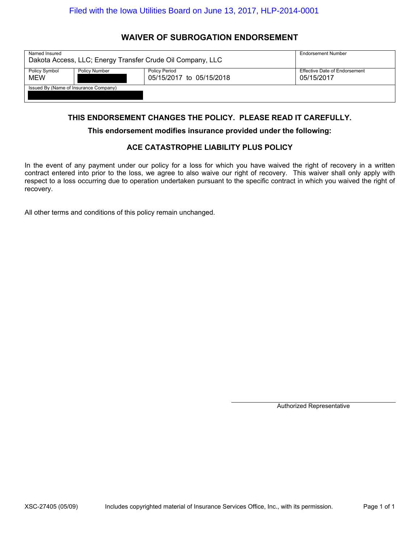## **WAIVER OF SUBROGATION ENDORSEMENT**

| Named Insured                         |                      | Dakota Access, LLC; Energy Transfer Crude Oil Company, LLC | <b>Endorsement Number</b> |
|---------------------------------------|----------------------|------------------------------------------------------------|---------------------------|
| Policy Symbol<br><b>MEW</b>           | <b>Policy Number</b> | Effective Date of Endorsement<br>05/15/2017                |                           |
| Issued By (Name of Insurance Company) |                      |                                                            |                           |

## **THIS ENDORSEMENT CHANGES THE POLICY. PLEASE READ IT CAREFULLY.**

#### **This endorsement modifies insurance provided under the following:**

## **ACE CATASTROPHE LIABILITY PLUS POLICY**

In the event of any payment under our policy for a loss for which you have waived the right of recovery in a written contract entered into prior to the loss, we agree to also waive our right of recovery. This waiver shall only apply with respect to a loss occurring due to operation undertaken pursuant to the specific contract in which you waived the right of recovery.

All other terms and conditions of this policy remain unchanged.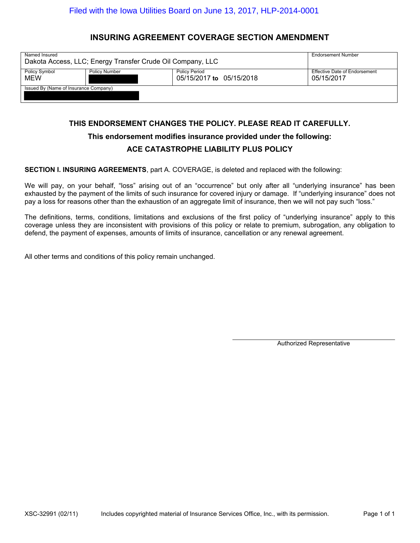## **INSURING AGREEMENT COVERAGE SECTION AMENDMENT**

| Named Insured<br>Dakota Access, LLC; Energy Transfer Crude Oil Company, LLC                      |  |  | <b>Endorsement Number</b>                   |
|--------------------------------------------------------------------------------------------------|--|--|---------------------------------------------|
| <b>Policy Period</b><br>Policy Symbol<br><b>Policy Number</b><br>MEW<br>05/15/2017 to 05/15/2018 |  |  | Effective Date of Endorsement<br>05/15/2017 |
| Issued By (Name of Insurance Company)                                                            |  |  |                                             |

## **THIS ENDORSEMENT CHANGES THE POLICY. PLEASE READ IT CAREFULLY.**

#### **This endorsement modifies insurance provided under the following:**

## **ACE CATASTROPHE LIABILITY PLUS POLICY**

#### **SECTION I. INSURING AGREEMENTS**, part A. COVERAGE, is deleted and replaced with the following:

We will pay, on your behalf, "loss" arising out of an "occurrence" but only after all "underlying insurance" has been exhausted by the payment of the limits of such insurance for covered injury or damage. If "underlying insurance" does not pay a loss for reasons other than the exhaustion of an aggregate limit of insurance, then we will not pay such "loss."

The definitions, terms, conditions, limitations and exclusions of the first policy of "underlying insurance" apply to this coverage unless they are inconsistent with provisions of this policy or relate to premium, subrogation, any obligation to defend, the payment of expenses, amounts of limits of insurance, cancellation or any renewal agreement.

All other terms and conditions of this policy remain unchanged.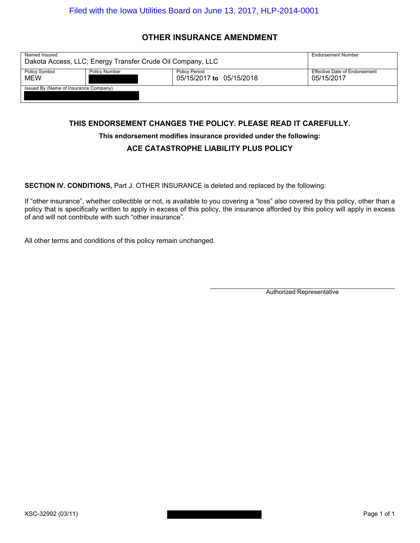## **OTHER INSURANCE AMENDMENT**

| Named Insured<br>Dakota Access, LLC; Energy Transfer Crude Oil Company, LLC                      |  |  | Endorsement Number                                 |
|--------------------------------------------------------------------------------------------------|--|--|----------------------------------------------------|
| <b>Policy Period</b><br>Policy Symbol<br><b>Policy Number</b><br>MEW<br>05/15/2017 to 05/15/2018 |  |  | <b>Effective Date of Endorsement</b><br>05/15/2017 |
| Issued By (Name of Insurance Company)                                                            |  |  |                                                    |

## **THIS ENDORSEMENT CHANGES THE POLICY. PLEASE READ IT CAREFULLY.**

#### **This endorsement modifies insurance provided under the following:**

## **ACE CATASTROPHE LIABILITY PLUS POLICY**

**SECTION IV. CONDITIONS,** Part J. OTHER INSURANCE is deleted and replaced by the following:

If "other insurance", whether collectible or not, is available to you covering a "loss" also covered by this policy, other than a policy that is specifically written to apply in excess of this policy, the insurance afforded by this policy will apply in excess of and will not contribute with such "other insurance".

All other terms and conditions of this policy remain unchanged.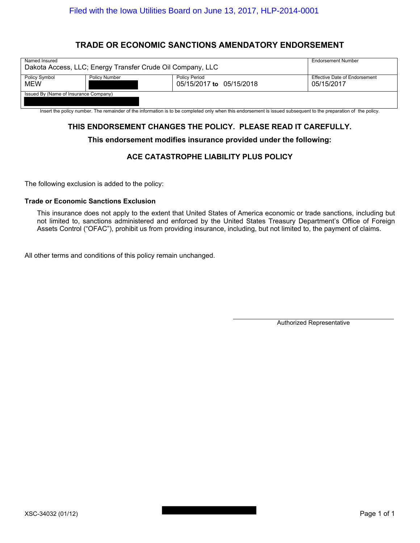## **TRADE OR ECONOMIC SANCTIONS AMENDATORY ENDORSEMENT**

| Named Insured<br>Dakota Access, LLC; Energy Transfer Crude Oil Company, LLC                                    |  |                                             | <b>Endorsement Number</b> |  |
|----------------------------------------------------------------------------------------------------------------|--|---------------------------------------------|---------------------------|--|
| <b>Policy Period</b><br><b>Policy Symbol</b><br><b>Policy Number</b><br><b>MEW</b><br>05/15/2017 to 05/15/2018 |  | Effective Date of Endorsement<br>05/15/2017 |                           |  |
| Issued By (Name of Insurance Company)                                                                          |  |                                             |                           |  |

Insert the policy number. The remainder of the information is to be completed only when this endorsement is issued subsequent to the preparation of the policy.

## **THIS ENDORSEMENT CHANGES THE POLICY. PLEASE READ IT CAREFULLY.**

#### **This endorsement modifies insurance provided under the following:**

## **ACE CATASTROPHE LIABILITY PLUS POLICY**

The following exclusion is added to the policy:

#### **Trade or Economic Sanctions Exclusion**

This insurance does not apply to the extent that United States of America economic or trade sanctions, including but not limited to, sanctions administered and enforced by the United States Treasury Department's Office of Foreign Assets Control ("OFAC"), prohibit us from providing insurance, including, but not limited to, the payment of claims.

All other terms and conditions of this policy remain unchanged.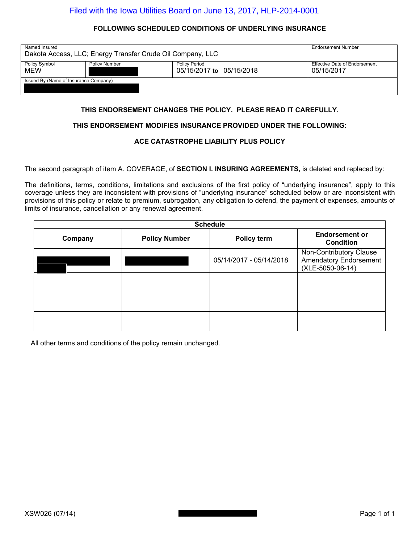#### **FOLLOWING SCHEDULED CONDITIONS OF UNDERLYING INSURANCE**

| Named Insured<br>Dakota Access, LLC; Energy Transfer Crude Oil Company, LLC | <b>Endorsement Number</b> |                          |                               |  |
|-----------------------------------------------------------------------------|---------------------------|--------------------------|-------------------------------|--|
| <b>Policy Symbol</b>                                                        | <b>Policy Number</b>      | <b>Policy Period</b>     | Effective Date of Endorsement |  |
| <b>MEW</b>                                                                  |                           | 05/15/2017 to 05/15/2018 | 05/15/2017                    |  |
| Issued By (Name of Insurance Company)                                       |                           |                          |                               |  |
|                                                                             |                           |                          |                               |  |

## **THIS ENDORSEMENT CHANGES THE POLICY. PLEASE READ IT CAREFULLY.**

#### **THIS ENDORSEMENT MODIFIES INSURANCE PROVIDED UNDER THE FOLLOWING:**

#### **ACE CATASTROPHE LIABILITY PLUS POLICY**

The second paragraph of item A. COVERAGE, of **SECTION I. INSURING AGREEMENTS,** is deleted and replaced by:

The definitions, terms, conditions, limitations and exclusions of the first policy of "underlying insurance", apply to this coverage unless they are inconsistent with provisions of "underlying insurance" scheduled below or are inconsistent with provisions of this policy or relate to premium, subrogation, any obligation to defend, the payment of expenses, amounts of limits of insurance, cancellation or any renewal agreement.

| <b>Schedule</b> |                      |                         |                                                                              |
|-----------------|----------------------|-------------------------|------------------------------------------------------------------------------|
| Company         | <b>Policy Number</b> | Policy term             | <b>Endorsement or</b><br><b>Condition</b>                                    |
|                 |                      | 05/14/2017 - 05/14/2018 | Non-Contributory Clause<br><b>Amendatory Endorsement</b><br>(XLE-5050-06-14) |
|                 |                      |                         |                                                                              |
|                 |                      |                         |                                                                              |
|                 |                      |                         |                                                                              |

All other terms and conditions of the policy remain unchanged.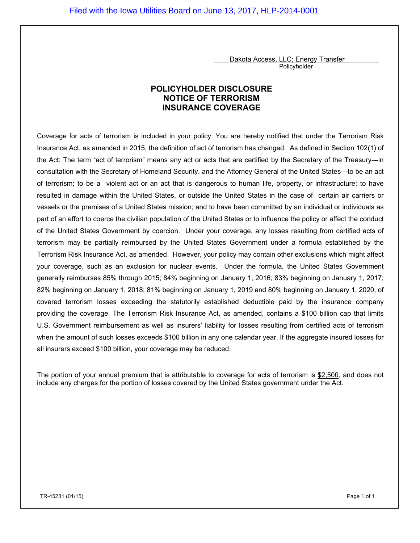Dakota Access, LLC; Energy Transfer Policyholder

## **POLICYHOLDER DISCLOSURE NOTICE OF TERRORISM INSURANCE COVERAGE**

Coverage for acts of terrorism is included in your policy. You are hereby notified that under the Terrorism Risk Insurance Act, as amended in 2015, the definition of act of terrorism has changed. As defined in Section 102(1) of the Act: The term "act of terrorism" means any act or acts that are certified by the Secretary of the Treasury---in consultation with the Secretary of Homeland Security, and the Attorney General of the United States---to be an act of terrorism; to be a violent act or an act that is dangerous to human life, property, or infrastructure; to have resulted in damage within the United States, or outside the United States in the case of certain air carriers or vessels or the premises of a United States mission; and to have been committed by an individual or individuals as part of an effort to coerce the civilian population of the United States or to influence the policy or affect the conduct of the United States Government by coercion. Under your coverage, any losses resulting from certified acts of terrorism may be partially reimbursed by the United States Government under a formula established by the Terrorism Risk Insurance Act, as amended. However, your policy may contain other exclusions which might affect your coverage, such as an exclusion for nuclear events. Under the formula, the United States Government generally reimburses 85% through 2015; 84% beginning on January 1, 2016; 83% beginning on January 1, 2017; 82% beginning on January 1, 2018; 81% beginning on January 1, 2019 and 80% beginning on January 1, 2020, of covered terrorism losses exceeding the statutorily established deductible paid by the insurance company providing the coverage. The Terrorism Risk Insurance Act, as amended, contains a \$100 billion cap that limits U.S. Government reimbursement as well as insurers' liability for losses resulting from certified acts of terrorism when the amount of such losses exceeds \$100 billion in any one calendar year. If the aggregate insured losses for all insurers exceed \$100 billion, your coverage may be reduced.

The portion of your annual premium that is attributable to coverage for acts of terrorism is \$2,500, and does not include any charges for the portion of losses covered by the United States government under the Act.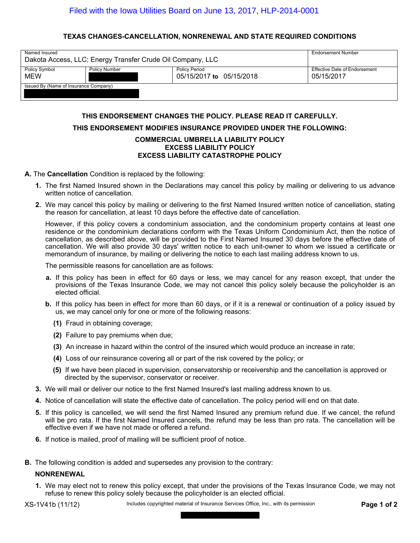#### **TEXAS CHANGES-CANCELLATION, NONRENEWAL AND STATE REQUIRED CONDITIONS**

| Named Insured<br>Dakota Access, LLC; Energy Transfer Crude Oil Company, LLC | Endorsement Number   |                                                  |                                             |  |
|-----------------------------------------------------------------------------|----------------------|--------------------------------------------------|---------------------------------------------|--|
| Policy Symbol<br><b>MEW</b>                                                 | <b>Policy Number</b> | <b>Policy Period</b><br>05/15/2017 to 05/15/2018 | Effective Date of Endorsement<br>05/15/2017 |  |
| Issued By (Name of Insurance Company)                                       |                      |                                                  |                                             |  |

#### **THIS ENDORSEMENT CHANGES THE POLICY. PLEASE READ IT CAREFULLY.**

#### **THIS ENDORSEMENT MODIFIES INSURANCE PROVIDED UNDER THE FOLLOWING:**

#### **COMMERCIAL UMBRELLA LIABILITY POLICY EXCESS LIABILITY POLICY EXCESS LIABILITY CATASTROPHE POLICY**

#### **A.** The **Cancellation** Condition is replaced by the following:

- **1.** The first Named Insured shown in the Declarations may cancel this policy by mailing or delivering to us advance written notice of cancellation.
- **2.** We may cancel this policy by mailing or delivering to the first Named Insured written notice of cancellation, stating the reason for cancellation, at least 10 days before the effective date of cancellation.

However, if this policy covers a condominium association, and the condominium property contains at least one residence or the condominium declarations conform with the Texas Uniform Condominium Act, then the notice of cancellation, as described above, will be provided to the First Named Insured 30 days before the effective date of cancellation. We will also provide 30 days' written notice to each unit-owner to whom we issued a certificate or memorandum of insurance, by mailing or delivering the notice to each last mailing address known to us.

The permissible reasons for cancellation are as follows:

- **a.** If this policy has been in effect for 60 days or less, we may cancel for any reason except, that under the provisions of the Texas Insurance Code, we may not cancel this policy solely because the policyholder is an elected official.
- **b.** If this policy has been in effect for more than 60 days, or if it is a renewal or continuation of a policy issued by us, we may cancel only for one or more of the following reasons:
	- **(1)** Fraud in obtaining coverage;
	- **(2)** Failure to pay premiums when due;
	- **(3)** An increase in hazard within the control of the insured which would produce an increase in rate;
	- **(4)** Loss of our reinsurance covering all or part of the risk covered by the policy; or
	- **(5)** If we have been placed in supervision, conservatorship or receivership and the cancellation is approved or directed by the supervisor, conservator or receiver.
- **3.** We will mail or deliver our notice to the first Named Insured's last mailing address known to us.
- **4.** Notice of cancellation will state the effective date of cancellation. The policy period will end on that date.
- **5.** If this policy is cancelled, we will send the first Named Insured any premium refund due. If we cancel, the refund will be pro rata. If the first Named Insured cancels, the refund may be less than pro rata. The cancellation will be effective even if we have not made or offered a refund.
- **6.** If notice is mailed, proof of mailing will be sufficient proof of notice.
- **B.** The following condition is added and supersedes any provision to the contrary:

#### **NONRENEWAL**

**1.** We may elect not to renew this policy except, that under the provisions of the Texas Insurance Code, we may not refuse to renew this policy solely because the policyholder is an elected official.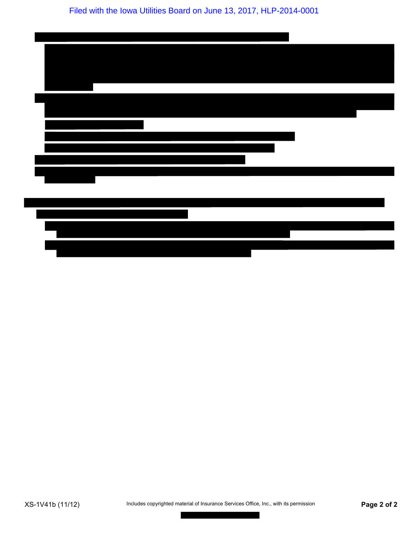Filed with the Iowa Utilities Board on June 13, 2017, HLP-2014-0001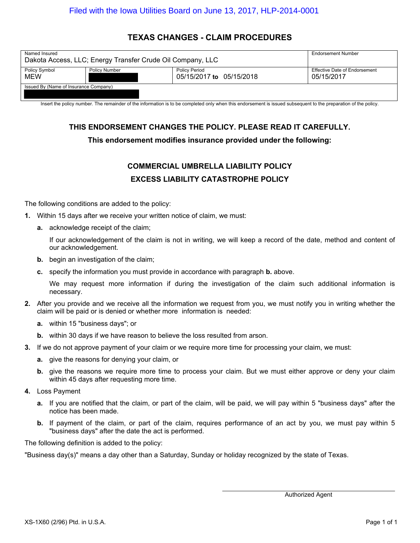## **TEXAS CHANGES - CLAIM PROCEDURES**

| Named Insured<br>Dakota Access, LLC; Energy Transfer Crude Oil Company, LLC | Endorsement Number   |                                                  |                                             |  |
|-----------------------------------------------------------------------------|----------------------|--------------------------------------------------|---------------------------------------------|--|
| Policy Symbol<br><b>MEW</b>                                                 | <b>Policy Number</b> | <b>Policy Period</b><br>05/15/2017 to 05/15/2018 | Effective Date of Endorsement<br>05/15/2017 |  |
| Issued By (Name of Insurance Company)                                       |                      |                                                  |                                             |  |

Insert the policy number. The remainder of the information is to be completed only when this endorsement is issued subsequent to the preparation of the policy.

## **THIS ENDORSEMENT CHANGES THE POLICY. PLEASE READ IT CAREFULLY.**

#### **This endorsement modifies insurance provided under the following:**

## **COMMERCIAL UMBRELLA LIABILITY POLICY EXCESS LIABILITY CATASTROPHE POLICY**

The following conditions are added to the policy:

- **1.** Within 15 days after we receive your written notice of claim, we must:
	- **a.** acknowledge receipt of the claim;

If our acknowledgement of the claim is not in writing, we will keep a record of the date, method and content of our acknowledgement.

- **b.** begin an investigation of the claim;
- **c.** specify the information you must provide in accordance with paragraph **b.** above.

We may request more information if during the investigation of the claim such additional information is necessary.

- **2.** After you provide and we receive all the information we request from you, we must notify you in writing whether the claim will be paid or is denied or whether more information is needed:
	- **a.** within 15 "business days"; or
	- **b.** within 30 days if we have reason to believe the loss resulted from arson.
- **3.** If we do not approve payment of your claim or we require more time for processing your claim, we must:
	- **a.** give the reasons for denying your claim, or
	- **b.** give the reasons we require more time to process your claim. But we must either approve or deny your claim within 45 days after requesting more time.
- **4.** Loss Payment
	- **a.** If you are notified that the claim, or part of the claim, will be paid, we will pay within 5 "business days" after the notice has been made.
	- **b.** If payment of the claim, or part of the claim, requires performance of an act by you, we must pay within 5 "business days" after the date the act is performed.

The following definition is added to the policy:

"Business day(s)" means a day other than a Saturday, Sunday or holiday recognized by the state of Texas.

Authorized Agent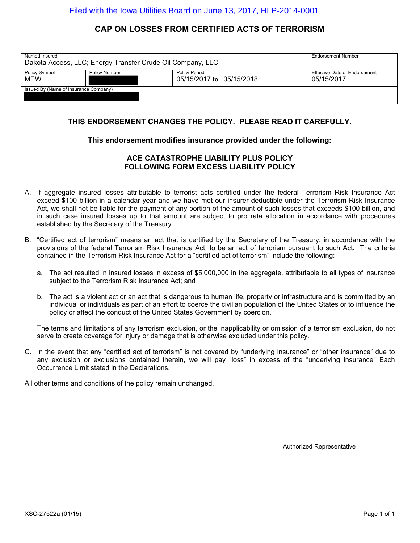## **CAP ON LOSSES FROM CERTIFIED ACTS OF TERRORISM**

| Named Insured<br>Dakota Access, LLC; Energy Transfer Crude Oil Company, LLC |                      |                                                  | <b>Endorsement Number</b>                   |  |
|-----------------------------------------------------------------------------|----------------------|--------------------------------------------------|---------------------------------------------|--|
| <b>Policy Symbol</b><br><b>MEW</b>                                          | <b>Policy Number</b> | <b>Policy Period</b><br>05/15/2017 to 05/15/2018 | Effective Date of Endorsement<br>05/15/2017 |  |
| Issued By (Name of Insurance Company)                                       |                      |                                                  |                                             |  |

#### **THIS ENDORSEMENT CHANGES THE POLICY. PLEASE READ IT CAREFULLY.**

#### **This endorsement modifies insurance provided under the following:**

#### **ACE CATASTROPHE LIABILITY PLUS POLICY FOLLOWING FORM EXCESS LIABILITY POLICY**

- A. If aggregate insured losses attributable to terrorist acts certified under the federal Terrorism Risk Insurance Act exceed \$100 billion in a calendar year and we have met our insurer deductible under the Terrorism Risk Insurance Act, we shall not be liable for the payment of any portion of the amount of such losses that exceeds \$100 billion, and in such case insured losses up to that amount are subject to pro rata allocation in accordance with procedures established by the Secretary of the Treasury.
- B. "Certified act of terrorism" means an act that is certified by the Secretary of the Treasury, in accordance with the provisions of the federal Terrorism Risk Insurance Act, to be an act of terrorism pursuant to such Act. The criteria contained in the Terrorism Risk Insurance Act for a "certified act of terrorism" include the following:
	- a. The act resulted in insured losses in excess of \$5,000,000 in the aggregate, attributable to all types of insurance subject to the Terrorism Risk Insurance Act; and
	- b. The act is a violent act or an act that is dangerous to human life, property or infrastructure and is committed by an individual or individuals as part of an effort to coerce the civilian population of the United States or to influence the policy or affect the conduct of the United States Government by coercion.

The terms and limitations of any terrorism exclusion, or the inapplicability or omission of a terrorism exclusion, do not serve to create coverage for injury or damage that is otherwise excluded under this policy.

C. In the event that any "certified act of terrorism" is not covered by "underlying insurance" or "other insurance" due to any exclusion or exclusions contained therein, we will pay "loss" in excess of the "underlying insurance" Each Occurrence Limit stated in the Declarations.

All other terms and conditions of the policy remain unchanged.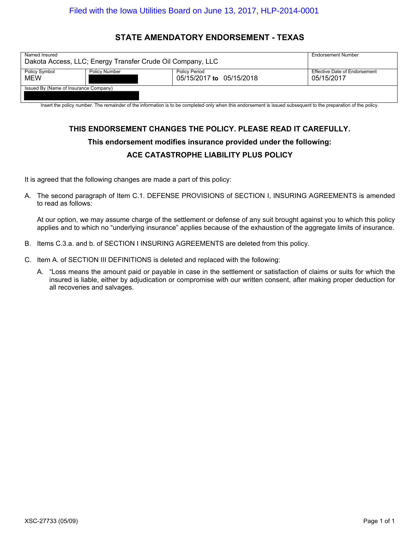## **STATE AMENDATORY ENDORSEMENT - TEXAS**

| Named Insured<br>Dakota Access, LLC; Energy Transfer Crude Oil Company, LLC |                      |                                                  | <b>Endorsement Number</b>                   |  |
|-----------------------------------------------------------------------------|----------------------|--------------------------------------------------|---------------------------------------------|--|
| <b>Policy Symbol</b><br><b>MEW</b>                                          | <b>Policy Number</b> | <b>Policy Period</b><br>05/15/2017 to 05/15/2018 | Effective Date of Endorsement<br>05/15/2017 |  |
| Issued By (Name of Insurance Company)                                       |                      |                                                  |                                             |  |

Insert the policy number. The remainder of the information is to be completed only when this endorsement is issued subsequent to the preparation of the policy.

## **THIS ENDORSEMENT CHANGES THE POLICY. PLEASE READ IT CAREFULLY. This endorsement modifies insurance provided under the following: ACE CATASTROPHE LIABILITY PLUS POLICY**

It is agreed that the following changes are made a part of this policy:

A. The second paragraph of Item C.1. DEFENSE PROVISIONS of SECTION I, INSURING AGREEMENTS is amended to read as follows:

At our option, we may assume charge of the settlement or defense of any suit brought against you to which this policy applies and to which no "underlying insurance" applies because of the exhaustion of the aggregate limits of insurance.

- B. Items C.3.a. and b. of SECTION I INSURING AGREEMENTS are deleted from this policy.
- C. Item A. of SECTION III DEFINITIONS is deleted and replaced with the following:
	- A. "Loss means the amount paid or payable in case in the settlement or satisfaction of claims or suits for which the insured is liable, either by adjudication or compromise with our written consent, after making proper deduction for all recoveries and salvages.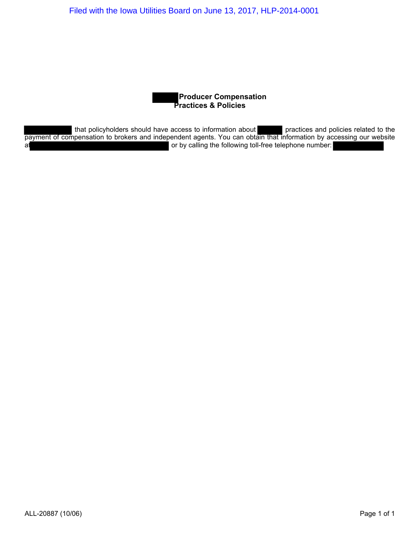## **Producer Compensation Practices & Policies**

that policyholders should have access to information about practices and policies related to the payment of compensation to brokers and independent agents. You can obtain that information by accessing our website at or by calling the following toll-free telephone number: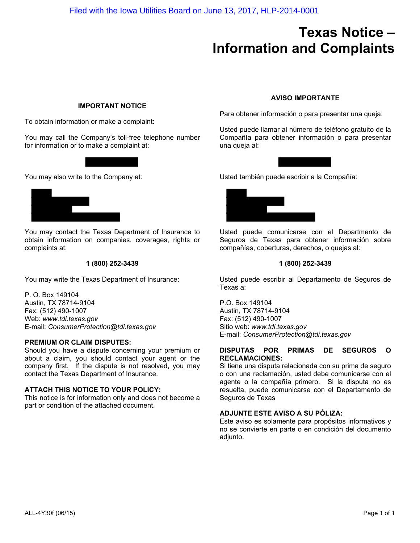## **Texas Notice – Information and Complaints**

#### **IMPORTANT NOTICE**

To obtain information or make a complaint:

You may call the Company's toll-free telephone number for information or to make a complaint at:





You may also write to the Company at:

You may contact the Texas Department of Insurance to obtain information on companies, coverages, rights or complaints at:

#### **1 (800) 252-3439**

You may write the Texas Department of Insurance:

P. O. Box 149104 Austin, TX 78714-9104 Fax: (512) 490-1007 Web: *www.tdi.texas.gov* E-mail: *ConsumerProtection@tdi.texas.gov*

#### **PREMIUM OR CLAIM DISPUTES:**

Should you have a dispute concerning your premium or about a claim, you should contact your agent or the company first. If the dispute is not resolved, you may contact the Texas Department of Insurance.

#### **ATTACH THIS NOTICE TO YOUR POLICY:**

This notice is for information only and does not become a part or condition of the attached document.

#### **AVISO IMPORTANTE**

Para obtener información o para presentar una queja:

Usted puede llamar al número de teléfono gratuito de la Compañía para obtener información o para presentar una queja al:



Usted también puede escribir a la Compañía:



Usted puede comunicarse con el Departmento de Seguros de Texas para obtener información sobre compañías, coberturas, derechos, o quejas al:

#### **1 (800) 252-3439**

Usted puede escribir al Departamento de Seguros de Texas a:

P.O. Box 149104 Austin, TX 78714-9104 Fax: (512) 490-1007 Sitio web: *www.tdi.texas.gov* E-mail: *ConsumerProtection@tdi.texas.gov*

#### **DISPUTAS POR PRIMAS DE SEGUROS O RECLAMACIONES:**

Si tiene una disputa relacionada con su prima de seguro o con una reclamación, usted debe comunicarse con el agente o la compañía primero. Si la disputa no es resuelta, puede comunicarse con el Departamento de Seguros de Texas

#### **ADJUNTE ESTE AVISO A SU PÓLIZA:**

Este aviso es solamente para propósitos informativos y no se convierte en parte o en condición del documento adjunto.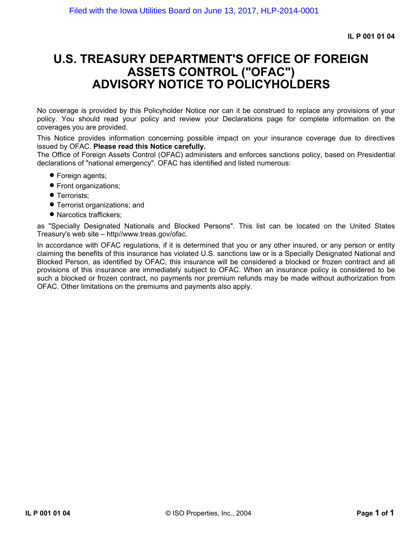## **U.S. TREASURY DEPARTMENT'S OFFICE OF FOREIGN ASSETS CONTROL ("OFAC") ADVISORY NOTICE TO POLICYHOLDERS**

No coverage is provided by this Policyholder Notice nor can it be construed to replace any provisions of your policy. You should read your policy and review your Declarations page for complete information on the coverages you are provided.

This Notice provides information concerning possible impact on your insurance coverage due to directives issued by OFAC. **Please read this Notice carefully.**

The Office of Foreign Assets Control (OFAC) administers and enforces sanctions policy, based on Presidential declarations of "national emergency". OFAC has identified and listed numerous:

- Foreign agents;
- Front organizations;
- **Terrorists;**
- · Terrorist organizations; and
- · Narcotics traffickers;

as "Specially Designated Nationals and Blocked Persons". This list can be located on the United States Treasury's web site – http//www.treas.gov/ofac.

In accordance with OFAC regulations, if it is determined that you or any other insured, or any person or entity claiming the benefits of this insurance has violated U.S. sanctions law or is a Specially Designated National and Blocked Person, as identified by OFAC, this insurance will be considered a blocked or frozen contract and all provisions of this insurance are immediately subject to OFAC. When an insurance policy is considered to be such a blocked or frozen contract, no payments nor premium refunds may be made without authorization from OFAC. Other limitations on the premiums and payments also apply.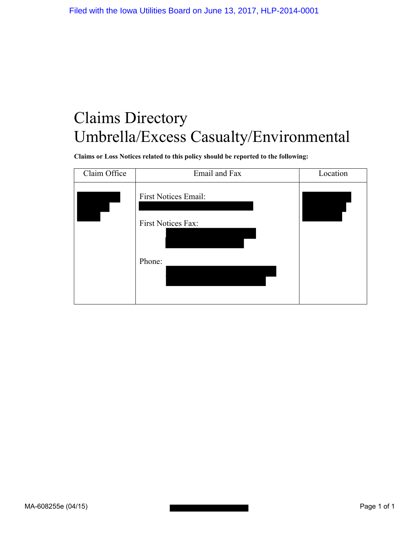# Claims Directory Umbrella/Excess Casualty/Environmental

**Claims or Loss Notices related to this policy should be reported to the following:**

| Claim Office | Email and Fax                              | Location |
|--------------|--------------------------------------------|----------|
|              | First Notices Email:<br>First Notices Fax: |          |
|              | Phone:                                     |          |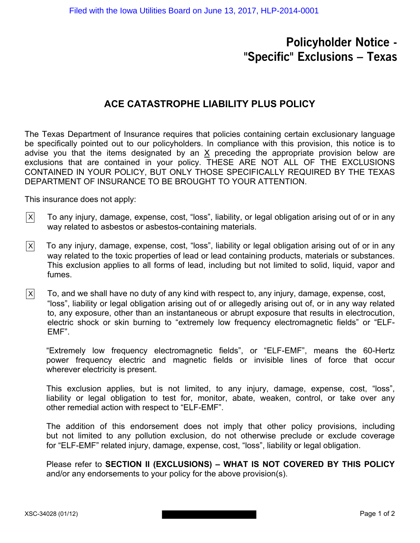## **Policyholder Notice - "Specific" Exclusions – Texas**

## **ACE CATASTROPHE LIABILITY PLUS POLICY**

The Texas Department of Insurance requires that policies containing certain exclusionary language be specifically pointed out to our policyholders. In compliance with this provision, this notice is to advise you that the items designated by an X preceding the appropriate provision below are exclusions that are contained in your policy. THESE ARE NOT ALL OF THE EXCLUSIONS CONTAINED IN YOUR POLICY, BUT ONLY THOSE SPECIFICALLY REQUIRED BY THE TEXAS DEPARTMENT OF INSURANCE TO BE BROUGHT TO YOUR ATTENTION.

This insurance does not apply:

- $|x|$  To any injury, damage, expense, cost, "loss", liability, or legal obligation arising out of or in any way related to asbestos or asbestos-containing materials.
- $\overline{X}$  To any injury, damage, expense, cost, "loss", liability or legal obligation arising out of or in any way related to the toxic properties of lead or lead containing products, materials or substances. This exclusion applies to all forms of lead, including but not limited to solid, liquid, vapor and fumes.

 $|x|$  To, and we shall have no duty of any kind with respect to, any injury, damage, expense, cost, "loss", liability or legal obligation arising out of or allegedly arising out of, or in any way related to, any exposure, other than an instantaneous or abrupt exposure that results in electrocution, electric shock or skin burning to "extremely low frequency electromagnetic fields" or "ELF-EMF".

"Extremely low frequency electromagnetic fields", or "ELF-EMF", means the 60-Hertz power frequency electric and magnetic fields or invisible lines of force that occur wherever electricity is present.

This exclusion applies, but is not limited, to any injury, damage, expense, cost, "loss", liability or legal obligation to test for, monitor, abate, weaken, control, or take over any other remedial action with respect to "ELF-EMF".

The addition of this endorsement does not imply that other policy provisions, including but not limited to any pollution exclusion, do not otherwise preclude or exclude coverage for "ELF-EMF" related injury, damage, expense, cost, "loss", liability or legal obligation.

Please refer to **SECTION II (EXCLUSIONS) – WHAT IS NOT COVERED BY THIS POLICY** and/or any endorsements to your policy for the above provision(s).